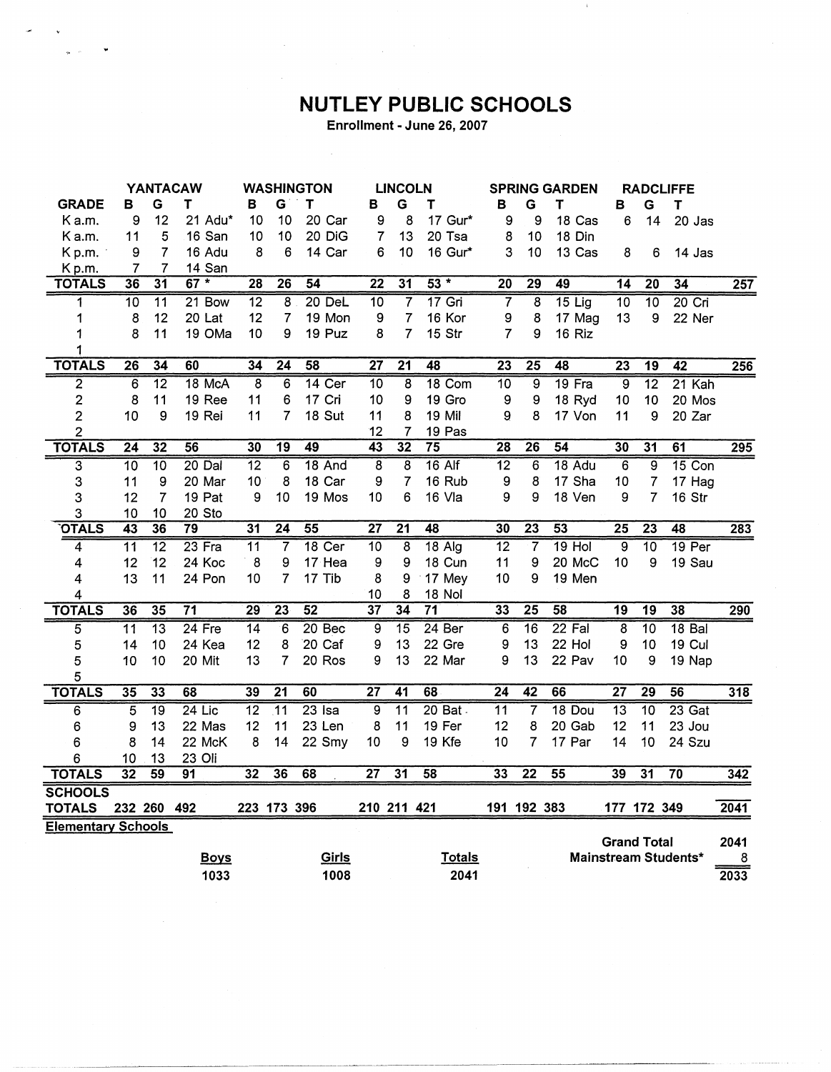## **NUTLEY PUBLIC SCHOOLS**

Enrollment - June 26, 2007

 $\hat{\mathcal{A}}$ 

|                           | <b>YANTACAW</b> |                 |                 | <b>WASHINGTON</b> |                 | <b>LINCOLN</b>  |                 |                 | <b>SPRING GARDEN</b> |                          |                 | <b>RADCLIFFE</b> |                    |                 |                             |                   |
|---------------------------|-----------------|-----------------|-----------------|-------------------|-----------------|-----------------|-----------------|-----------------|----------------------|--------------------------|-----------------|------------------|--------------------|-----------------|-----------------------------|-------------------|
| <b>GRADE</b>              | в               | G               | T               | в                 | G               | T               | В               | G               | Τ                    | в                        | G               | T                | B                  | G               | T                           |                   |
| Ka.m.                     | 9               | 12              | 21 Adu*         | 10                | 10              | 20 Car          | 9               | 8               | 17 Gur*              | 9                        | 9               | 18 Cas           | 6                  | 14              | 20 Jas                      |                   |
| K a.m.                    | 11              | 5               | 16 San          | 10                | 10              | 20 DiG          | 7               | 13              | 20 Tsa               | 8                        | 10              | 18 Din           |                    |                 |                             |                   |
| Kp.m.                     | 9               | 7               | 16 Adu          | 8                 | 6               | 14 Car          | 6               | 10              | 16 Gur*              | 3                        | 10              | 13 Cas           | 8                  | 6               | 14 Jas                      |                   |
| Kp.m.                     | 7               | 7               | 14 San          |                   |                 |                 |                 |                 |                      |                          |                 |                  |                    |                 |                             |                   |
| <b>TOTALS</b>             | 36              | $\overline{31}$ | $67 *$          | $\overline{28}$   | $\overline{26}$ | 54              | $\overline{22}$ | $\overline{31}$ | $53 *$               | $\overline{20}$          | 29              | 49               | $\overline{14}$    | $\overline{20}$ | 34                          | $\overline{257}$  |
| 1                         | $\overline{10}$ | $\overline{11}$ | $21$ Bow        | $\overline{12}$   | 8               | $20$ DeL        | 10              | $\overline{7}$  | $17$ Gri             | $\overline{\mathcal{L}}$ | 8               | $15$ Lig         | $\overline{10}$    | $\overline{10}$ | $20$ Cri                    |                   |
| 1                         | 8               | 12              | 20 Lat          | 12                | $\overline{7}$  | 19 Mon          | 9               | $\overline{7}$  | 16 Kor               | 9                        | 8               | 17 Mag           | 13                 | 9               | 22 Ner                      |                   |
| 1                         | 8               | 11              | 19 OMa          | 10                | 9               | 19 Puz          | 8               | 7               | 15 Str               | $\overline{7}$           | 9               | 16 Riz           |                    |                 |                             |                   |
|                           |                 |                 |                 |                   |                 |                 |                 |                 |                      |                          |                 |                  |                    |                 |                             |                   |
| <b>TOTALS</b>             | $\overline{26}$ | 34              | 60              | $\overline{34}$   | $\overline{24}$ | 58              | $\overline{27}$ | $\overline{21}$ | 48                   | $\overline{23}$          | $\overline{25}$ | 48               | $\overline{23}$    | 19              | 42                          | 256               |
| $\overline{2}$            | $\overline{6}$  | $\overline{12}$ | 18 McA          | 8                 | 6               | 14 Cer          | $\overline{10}$ | 8               | 18 Com               | $\overline{10}$          | $\overline{9}$  | 19 Fra           | $\overline{9}$     | $\overline{12}$ | 21 Kah                      |                   |
| 2                         | 8               | 11              | 19 Ree          | 11                | 6               | 17 Cri          | 10              | 9               | 19 Gro               | 9                        | 9               | 18 Ryd           | 10                 | 10              | 20 Mos                      |                   |
| $\overline{2}$            | 10              | 9               | 19 Rei          | 11                | 7               | 18 Sut          | 11              | 8               | 19 Mil               | 9                        | 8               | 17 Von           | 11                 | 9               | 20 Zar                      |                   |
| $\overline{c}$            |                 |                 |                 |                   |                 |                 | 12              | $\overline{7}$  | 19 Pas               |                          |                 |                  |                    |                 |                             |                   |
| <b>TOTALS</b>             | $\overline{24}$ | 32              | 56              | 30                | 19              | 49              | $\overline{43}$ | 32              | $\overline{75}$      | 28                       | 26              | $\overline{54}$  | 30                 | $\overline{31}$ | 61                          | 295               |
| $\overline{3}$            | $\overline{10}$ | $\overline{10}$ | 20 Dal          | $\overline{12}$   | 6               | 18 And          | 8               | 8               | $16$ Alf             | $\overline{12}$          | 6               | 18 Adu           | $\overline{6}$     | $\overline{9}$  | $15$ Con                    |                   |
| 3                         | 11              | 9               | 20 Mar          | 10                | 8               | 18 Car          | 9               | $\overline{7}$  | 16 Rub               | 9                        | 8               | 17 Sha           | 10                 | 7               | 17 Hag                      |                   |
| 3                         | 12              | $\overline{7}$  | 19 Pat          | 9                 | 10              | 19 Mos          | 10              | 6               | 16 Vla               | 9                        | 9               | 18 Ven           | 9                  | 7               | 16 Str                      |                   |
| 3                         | 10              | 10              | 20 Sto          |                   |                 |                 |                 |                 |                      |                          |                 |                  |                    |                 |                             |                   |
| <b>OTALS</b>              | 43              | 36              | 79              | 31                | $\overline{24}$ | 55              | $\overline{27}$ | $\overline{21}$ | 48                   | 30                       | $\overline{23}$ | $\overline{53}$  | $\overline{25}$    | $\overline{23}$ | 48                          | 283               |
| 4                         | $\overline{11}$ | $\overline{12}$ | $23$ Fra        | $\overline{11}$   | 7               | 18 Cer          | 10              | 8               | $18$ Alg             | $\overline{12}$          | $\overline{7}$  | $19$ Hol         | 9                  | $\overline{10}$ | $19$ Per                    |                   |
| 4                         | 12              | 12              | 24 Koc          | 8                 | 9               | 17 Hea          | 9               | 9               | 18 Cun               | 11                       | 9               | 20 McC           | 10                 | 9               | 19 Sau                      |                   |
| 4                         | 13              | 11              | 24 Pon          | 10                | 7               | 17 Tib          | 8               | 9               | 17 Mey               | 10                       | 9               | 19 Men           |                    |                 |                             |                   |
| 4                         |                 |                 |                 |                   |                 |                 | 10              | 8               | 18 Nol               |                          |                 |                  |                    |                 |                             |                   |
| <b>TOTALS</b>             | 36              | 35              | $\overline{71}$ | 29                | $\overline{23}$ | $\overline{52}$ | $\overline{37}$ | 34              | $\overline{71}$      | 33                       | $\overline{25}$ | 58               | $\overline{19}$    | 19              | 38                          | 290               |
| 5                         | 11              | $\overline{13}$ | $24$ Fre        | $\overline{14}$   | 6               | 20 Bec          | $\overline{9}$  | $\overline{15}$ | 24 <sub>Ber</sub>    | 6                        | $\overline{16}$ | 22 Fal           | $\overline{8}$     | $\overline{10}$ | 18 <sub>Bal</sub>           |                   |
| 5                         | 14              | 10              | 24 Kea          | 12                | 8               | 20 Caf          | 9               | 13              | 22 Gre               | 9                        | 13              | 22 Hol           | 9                  | 10              | 19 Cul                      |                   |
| 5                         | 10              | 10              | 20 Mit          | 13                | $\overline{7}$  | 20 Ros          | 9               | 13              | 22 Mar               | 9                        | 13              | 22 Pav           | 10                 | 9               | 19 Nap                      |                   |
| 5                         |                 |                 |                 |                   |                 |                 |                 |                 |                      |                          |                 |                  |                    |                 |                             |                   |
| <b>TOTALS</b>             | 35              | 33              | 68              | 39                | $\overline{21}$ | 60              | $\overline{27}$ | 41              | 68                   | 24                       | $\overline{42}$ | 66               | $\overline{27}$    | 29              | 56                          | 318               |
| 6                         | $\overline{5}$  | 19              | $24$ Lic        | $\overline{12}$   | $\overline{11}$ | $23$ Isa        | ढ़              | $\overline{11}$ | $20$ Bat             | $\overline{11}$          | 7               | 18 Dou           | $\overline{13}$    | $\overline{10}$ | $23$ Gat                    |                   |
| 6                         | 9               | 13              | 22 Mas          | 12                | 11              | 23 Len          | 8               | 11              | 19 Fer               | 12                       | 8               | 20 Gab           | 12                 | 11              | 23 Jou                      |                   |
| 6                         | 8               | 14              | 22 McK          | 8                 | 14              | 22 Smy          | 10              | 9               | 19 Kfe               | 10                       | 7               | 17 Par           | 14                 | 10              | 24 Szu                      |                   |
| 6                         | 10              | 13              | 23 Oli          |                   |                 |                 |                 |                 |                      |                          |                 |                  |                    |                 |                             |                   |
| <b>TOTALS</b>             | $\overline{32}$ | 59              | 91              | 32                | 36              | 68              | 27              | $\overline{31}$ | 58                   | 33                       | $\overline{22}$ | 55               | 39                 | $\overline{31}$ | $\overline{70}$             | 342               |
| <b>SCHOOLS</b>            |                 |                 |                 |                   |                 |                 |                 |                 |                      |                          |                 |                  |                    |                 |                             |                   |
| <b>TOTALS</b>             |                 | 232 260 492     |                 |                   | 223 173 396     |                 |                 | 210 211 421     |                      |                          | 191 192 383     |                  |                    | 177 172 349     |                             | $\overline{2041}$ |
| <b>Elementary Schools</b> |                 |                 |                 |                   |                 |                 |                 |                 |                      |                          |                 |                  |                    |                 |                             |                   |
|                           |                 |                 |                 |                   |                 |                 |                 |                 |                      |                          |                 |                  | <b>Grand Total</b> |                 |                             | 2041              |
|                           |                 |                 | <b>Boys</b>     |                   |                 | Girls           |                 |                 | <b>Totals</b>        |                          |                 |                  |                    |                 | <b>Mainstream Students*</b> | 8                 |
|                           |                 |                 | 1033            |                   |                 | 1008            |                 |                 | 2041                 |                          |                 |                  |                    |                 |                             | 2033              |